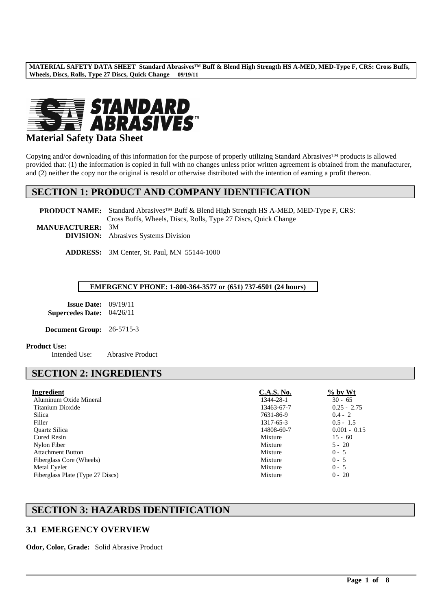

# **Material Safety Data Sheet**

Copying and/or downloading of this information for the purpose of properly utilizing Standard Abrasives™ products is allowed provided that: (1) the information is copied in full with no changes unless prior written agreement is obtained from the manufacturer, and (2) neither the copy nor the original is resold or otherwise distributed with the intention of earning a profit thereon.

# **SECTION 1: PRODUCT AND COMPANY IDENTIFICATION**

**PRODUCT NAME:** Standard Abrasives™ Buff & Blend High Strength HS A-MED, MED-Type F, CRS: Cross Buffs, Wheels, Discs, Rolls, Type 27 Discs, Quick Change

**MANUFACTURER:** 3M **DIVISION:** Abrasives Systems Division

**ADDRESS:** 3M Center, St. Paul, MN 55144-1000

#### **EMERGENCY PHONE: 1-800-364-3577 or (651) 737-6501 (24 hours)**

**Issue Date:** 09/19/11 **Supercedes Date:** 04/26/11

**Document Group:** 26-5715-3

#### **Product Use:**

Intended Use: Abrasive Product

# **SECTION 2: INGREDIENTS**

| Ingredient                       | <b>C.A.S. No.</b> | $\frac{6}{2}$ by Wt |
|----------------------------------|-------------------|---------------------|
| Aluminum Oxide Mineral           | 1344-28-1         | $30 - 65$           |
| Titanium Dioxide                 | 13463-67-7        | $0.25 - 2.75$       |
| Silica                           | 7631-86-9         | $0.4 - 2$           |
| Filler                           | 1317-65-3         | $0.5 - 1.5$         |
| <b>Ouartz Silica</b>             | 14808-60-7        | $0.001 - 0.15$      |
| Cured Resin                      | Mixture           | $15 - 60$           |
| Nylon Fiber                      | Mixture           | $5 - 20$            |
| <b>Attachment Button</b>         | Mixture           | $0 - 5$             |
| Fiberglass Core (Wheels)         | Mixture           | $0 - 5$             |
| Metal Eyelet                     | Mixture           | $0 - 5$             |
| Fiberglass Plate (Type 27 Discs) | Mixture           | $0 - 20$            |

\_\_\_\_\_\_\_\_\_\_\_\_\_\_\_\_\_\_\_\_\_\_\_\_\_\_\_\_\_\_\_\_\_\_\_\_\_\_\_\_\_\_\_\_\_\_\_\_\_\_\_\_\_\_\_\_\_\_\_\_\_\_\_\_\_\_\_\_\_\_\_\_\_\_\_\_\_\_\_\_\_\_\_\_\_\_\_\_\_\_\_\_\_\_\_\_\_

# **SECTION 3: HAZARDS IDENTIFICATION**

# **3.1 EMERGENCY OVERVIEW**

**Odor, Color, Grade:** Solid Abrasive Product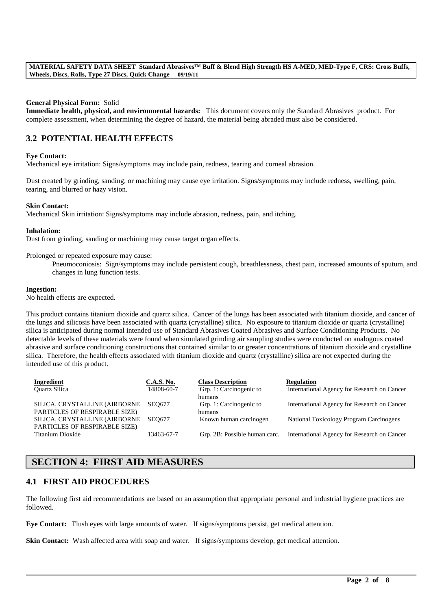#### **General Physical Form:** Solid

**Immediate health, physical, and environmental hazards:** This document covers only the Standard Abrasives product. For complete assessment, when determining the degree of hazard, the material being abraded must also be considered.

# **3.2 POTENTIAL HEALTH EFFECTS**

#### **Eye Contact:**

Mechanical eye irritation: Signs/symptoms may include pain, redness, tearing and corneal abrasion.

Dust created by grinding, sanding, or machining may cause eye irritation. Signs/symptoms may include redness, swelling, pain, tearing, and blurred or hazy vision.

#### **Skin Contact:**

Mechanical Skin irritation: Signs/symptoms may include abrasion, redness, pain, and itching.

#### **Inhalation:**

Dust from grinding, sanding or machining may cause target organ effects.

Prolonged or repeated exposure may cause:

Pneumoconiosis: Sign/symptoms may include persistent cough, breathlessness, chest pain, increased amounts of sputum, and changes in lung function tests.

#### **Ingestion:**

No health effects are expected.

This product contains titanium dioxide and quartz silica. Cancer of the lungs has been associated with titanium dioxide, and cancer of the lungs and silicosis have been associated with quartz (crystalline) silica. No exposure to titanium dioxide or quartz (crystalline) silica is anticipated during normal intended use of Standard Abrasives Coated Abrasives and Surface Conditioning Products. No detectable levels of these materials were found when simulated grinding air sampling studies were conducted on analogous coated abrasive and surface conditioning constructions that contained similar to or greater concentrations of titanium dioxide and crystalline silica. Therefore, the health effects associated with titanium dioxide and quartz (crystalline) silica are not expected during the intended use of this product.

| Ingredient                    | <b>C.A.S. No.</b> | <b>Class Description</b>      | <b>Regulation</b>                           |
|-------------------------------|-------------------|-------------------------------|---------------------------------------------|
| <b>Ouartz Silica</b>          | 14808-60-7        | Grp. 1: Carcinogenic to       | International Agency for Research on Cancer |
|                               |                   | humans                        |                                             |
| SILICA, CRYSTALLINE (AIRBORNE | <b>SEO677</b>     | Grp. 1: Carcinogenic to       | International Agency for Research on Cancer |
| PARTICLES OF RESPIRABLE SIZE) |                   | humans                        |                                             |
| SILICA, CRYSTALLINE (AIRBORNE | SEO677            | Known human carcinogen        | National Toxicology Program Carcinogens     |
| PARTICLES OF RESPIRABLE SIZE) |                   |                               |                                             |
| Titanium Dioxide              | 13463-67-7        | Grp. 2B: Possible human carc. | International Agency for Research on Cancer |
|                               |                   |                               |                                             |

# **SECTION 4: FIRST AID MEASURES**

### **4.1 FIRST AID PROCEDURES**

The following first aid recommendations are based on an assumption that appropriate personal and industrial hygiene practices are followed.

\_\_\_\_\_\_\_\_\_\_\_\_\_\_\_\_\_\_\_\_\_\_\_\_\_\_\_\_\_\_\_\_\_\_\_\_\_\_\_\_\_\_\_\_\_\_\_\_\_\_\_\_\_\_\_\_\_\_\_\_\_\_\_\_\_\_\_\_\_\_\_\_\_\_\_\_\_\_\_\_\_\_\_\_\_\_\_\_\_\_\_\_\_\_\_\_\_

**Eye Contact:** Flush eyes with large amounts of water. If signs/symptoms persist, get medical attention.

**Skin Contact:** Wash affected area with soap and water. If signs/symptoms develop, get medical attention.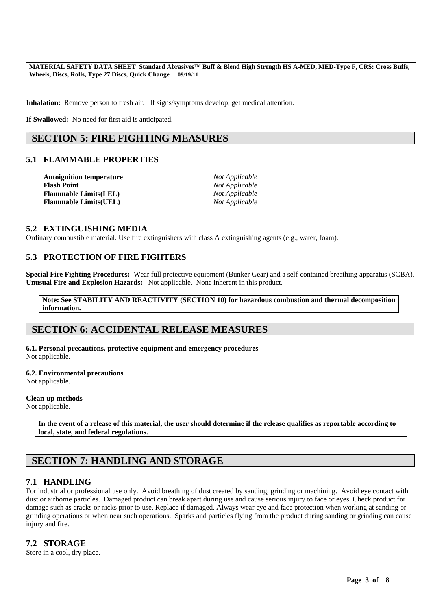**Inhalation:** Remove person to fresh air. If signs/symptoms develop, get medical attention.

**If Swallowed:** No need for first aid is anticipated.

# **SECTION 5: FIRE FIGHTING MEASURES**

## **5.1 FLAMMABLE PROPERTIES**

| <b>Autoignition temperature</b> | Not Applicable |
|---------------------------------|----------------|
| <b>Flash Point</b>              | Not Applicable |
| <b>Flammable Limits(LEL)</b>    | Not Applicable |
| <b>Flammable Limits(UEL)</b>    | Not Applicable |

#### **5.2 EXTINGUISHING MEDIA**

Ordinary combustible material. Use fire extinguishers with class A extinguishing agents (e.g., water, foam).

## **5.3 PROTECTION OF FIRE FIGHTERS**

**Special Fire Fighting Procedures:** Wear full protective equipment (Bunker Gear) and a self-contained breathing apparatus (SCBA). **Unusual Fire and Explosion Hazards:** Not applicable. None inherent in this product.

**Note: See STABILITY AND REACTIVITY (SECTION 10) for hazardous combustion and thermal decomposition information.**

# **SECTION 6: ACCIDENTAL RELEASE MEASURES**

**6.1. Personal precautions, protective equipment and emergency procedures** Not applicable.

#### **6.2. Environmental precautions**

Not applicable.

#### **Clean-up methods**

Not applicable.

**In the event of a release of this material, the user should determine if the release qualifies as reportable according to local, state, and federal regulations.**

# **SECTION 7: HANDLING AND STORAGE**

### **7.1 HANDLING**

For industrial or professional use only. Avoid breathing of dust created by sanding, grinding or machining. Avoid eye contact with dust or airborne particles. Damaged product can break apart during use and cause serious injury to face or eyes. Check product for damage such as cracks or nicks prior to use. Replace if damaged. Always wear eye and face protection when working at sanding or grinding operations or when near such operations. Sparks and particles flying from the product during sanding or grinding can cause injury and fire.

\_\_\_\_\_\_\_\_\_\_\_\_\_\_\_\_\_\_\_\_\_\_\_\_\_\_\_\_\_\_\_\_\_\_\_\_\_\_\_\_\_\_\_\_\_\_\_\_\_\_\_\_\_\_\_\_\_\_\_\_\_\_\_\_\_\_\_\_\_\_\_\_\_\_\_\_\_\_\_\_\_\_\_\_\_\_\_\_\_\_\_\_\_\_\_\_\_

### **7.2 STORAGE**

Store in a cool, dry place.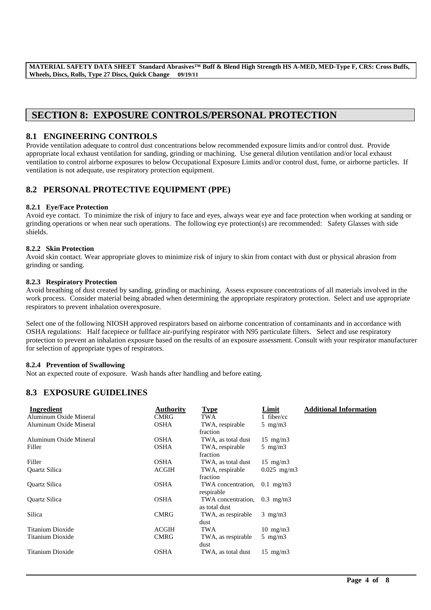# **SECTION 8: EXPOSURE CONTROLS/PERSONAL PROTECTION**

## **8.1 ENGINEERING CONTROLS**

Provide ventilation adequate to control dust concentrations below recommended exposure limits and/or control dust. Provide appropriate local exhaust ventilation for sanding, grinding or machining. Use general dilution ventilation and/or local exhaust ventilation to control airborne exposures to below Occupational Exposure Limits and/or control dust, fume, or airborne particles. If ventilation is not adequate, use respiratory protection equipment.

# **8.2 PERSONAL PROTECTIVE EQUIPMENT (PPE)**

#### **8.2.1 Eye/Face Protection**

Avoid eye contact. To minimize the risk of injury to face and eyes, always wear eye and face protection when working at sanding or grinding operations or when near such operations. The following eye protection(s) are recommended: Safety Glasses with side shields.

#### **8.2.2 Skin Protection**

Avoid skin contact. Wear appropriate gloves to minimize risk of injury to skin from contact with dust or physical abrasion from grinding or sanding.

#### **8.2.3 Respiratory Protection**

Avoid breathing of dust created by sanding, grinding or machining. Assess exposure concentrations of all materials involved in the work process. Consider material being abraded when determining the appropriate respiratory protection. Select and use appropriate respirators to prevent inhalation overexposure.

Select one of the following NIOSH approved respirators based on airborne concentration of contaminants and in accordance with OSHA regulations: Half facepiece or fullface air-purifying respirator with N95 particulate filters. Select and use respiratory protection to prevent an inhalation exposure based on the results of an exposure assessment. Consult with your respirator manufacturer for selection of appropriate types of respirators.

#### **8.2.4 Prevention of Swallowing**

Not an expected route of exposure. Wash hands after handling and before eating.

# **8.3 EXPOSURE GUIDELINES**

| Ingredient             | <b>Authority</b> | <b>Type</b>        | Limit             | <b>Additional Information</b> |
|------------------------|------------------|--------------------|-------------------|-------------------------------|
| Aluminum Oxide Mineral | <b>CMRG</b>      | TWA                | 1 fiber/cc        |                               |
| Aluminum Oxide Mineral | <b>OSHA</b>      | TWA, respirable    | 5 mg/m $3$        |                               |
|                        |                  | fraction           |                   |                               |
| Aluminum Oxide Mineral | <b>OSHA</b>      | TWA, as total dust | $15 \text{ mg/m}$ |                               |
| Filler                 | <b>OSHA</b>      | TWA, respirable    | 5 mg/m $3$        |                               |
|                        |                  | fraction           |                   |                               |
| Filler                 | <b>OSHA</b>      | TWA, as total dust | $15 \text{ mg/m}$ |                               |
| Quartz Silica          | <b>ACGIH</b>     | TWA, respirable    | $0.025$ mg/m3     |                               |
|                        |                  | fraction           |                   |                               |
| <b>Ouartz Silica</b>   | <b>OSHA</b>      | TWA concentration, | $0.1$ mg/m $3$    |                               |
|                        |                  | respirable         |                   |                               |
| Quartz Silica          | <b>OSHA</b>      | TWA concentration, | $0.3$ mg/m $3$    |                               |
|                        |                  | as total dust      |                   |                               |
| Silica                 | <b>CMRG</b>      | TWA, as respirable | $3 \text{ mg/m}$  |                               |
|                        |                  | dust               |                   |                               |
| Titanium Dioxide       | <b>ACGIH</b>     | TWA                | $10 \text{ mg/m}$ |                               |
| Titanium Dioxide       | <b>CMRG</b>      | TWA, as respirable | 5 mg/m $3$        |                               |
|                        |                  | dust               |                   |                               |
| Titanium Dioxide       | <b>OSHA</b>      | TWA, as total dust | $15 \text{ mg/m}$ |                               |
|                        |                  |                    |                   |                               |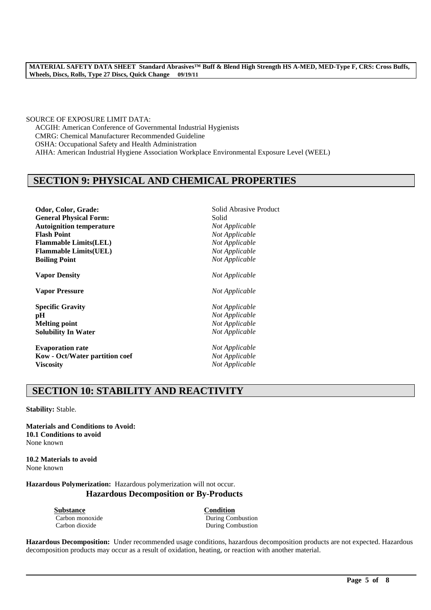SOURCE OF EXPOSURE LIMIT DATA: ACGIH: American Conference of Governmental Industrial Hygienists CMRG: Chemical Manufacturer Recommended Guideline OSHA: Occupational Safety and Health Administration AIHA: American Industrial Hygiene Association Workplace Environmental Exposure Level (WEEL)

# **SECTION 9: PHYSICAL AND CHEMICAL PROPERTIES**

| Odor, Color, Grade:             | Solid Abrasive Product |
|---------------------------------|------------------------|
| <b>General Physical Form:</b>   | Solid                  |
| <b>Autoignition temperature</b> | Not Applicable         |
| <b>Flash Point</b>              | Not Applicable         |
| <b>Flammable Limits(LEL)</b>    | Not Applicable         |
| <b>Flammable Limits(UEL)</b>    | Not Applicable         |
| <b>Boiling Point</b>            | Not Applicable         |
| <b>Vapor Density</b>            | Not Applicable         |
| <b>Vapor Pressure</b>           | Not Applicable         |
| <b>Specific Gravity</b>         | Not Applicable         |
| pН                              | Not Applicable         |
| <b>Melting point</b>            | Not Applicable         |
| <b>Solubility In Water</b>      | Not Applicable         |
| <b>Evaporation rate</b>         | Not Applicable         |
| Kow - Oct/Water partition coef  | Not Applicable         |
| <b>Viscosity</b>                | Not Applicable         |

# **SECTION 10: STABILITY AND REACTIVITY**

**Stability:** Stable.

**Materials and Conditions to Avoid: 10.1 Conditions to avoid** None known

**10.2 Materials to avoid** None known

**Hazardous Polymerization:** Hazardous polymerization will not occur. **Hazardous Decomposition or By-Products**

**Substance Condition**

Carbon monoxide During Combustion Carbon dioxide During Combustion

**Hazardous Decomposition:** Under recommended usage conditions, hazardous decomposition products are not expected. Hazardous decomposition products may occur as a result of oxidation, heating, or reaction with another material.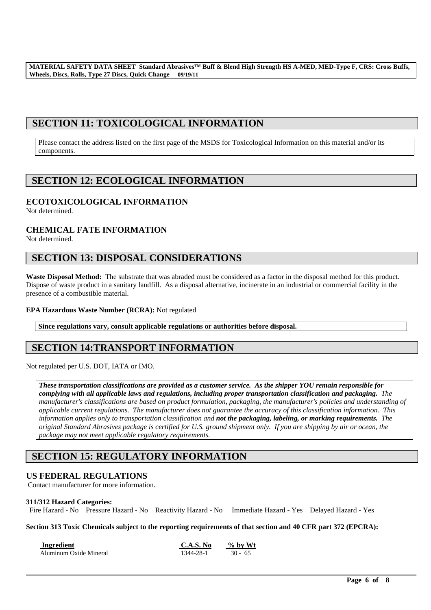# **SECTION 11: TOXICOLOGICAL INFORMATION**

Please contact the address listed on the first page of the MSDS for Toxicological Information on this material and/or its components.

# **SECTION 12: ECOLOGICAL INFORMATION**

# **ECOTOXICOLOGICAL INFORMATION**

Not determined.

# **CHEMICAL FATE INFORMATION**

Not determined.

# **SECTION 13: DISPOSAL CONSIDERATIONS**

**Waste Disposal Method:** The substrate that was abraded must be considered as a factor in the disposal method for this product. Dispose of waste product in a sanitary landfill. As a disposal alternative, incinerate in an industrial or commercial facility in the presence of a combustible material.

#### **EPA Hazardous Waste Number (RCRA):** Not regulated

**Since regulations vary, consult applicable regulations or authorities before disposal.**

# **SECTION 14:TRANSPORT INFORMATION**

Not regulated per U.S. DOT, IATA or IMO.

*These transportation classifications are provided as a customer service. As the shipper YOU remain responsible for complying with all applicable laws and regulations, including proper transportation classification and packaging. The manufacturer's classifications are based on product formulation, packaging, the manufacturer's policies and understanding of applicable current regulations. The manufacturer does not guarantee the accuracy of this classification information. This information applies only to transportation classification and not the packaging, labeling, or marking requirements. The original Standard Abrasives package is certified for U.S. ground shipment only. If you are shipping by air or ocean, the package may not meet applicable regulatory requirements.* 

# **SECTION 15: REGULATORY INFORMATION**

# **US FEDERAL REGULATIONS**

Contact manufacturer for more information.

#### **311/312 Hazard Categories:**

Fire Hazard - No Pressure Hazard - No Reactivity Hazard - No Immediate Hazard - Yes Delayed Hazard - Yes

**Section 313 Toxic Chemicals subject to the reporting requirements of that section and 40 CFR part 372 (EPCRA):**

| Ingredient             | C.A.S. No | $%$ by Wt |
|------------------------|-----------|-----------|
| Aluminum Oxide Mineral | 1344-28-1 | $30 - 65$ |